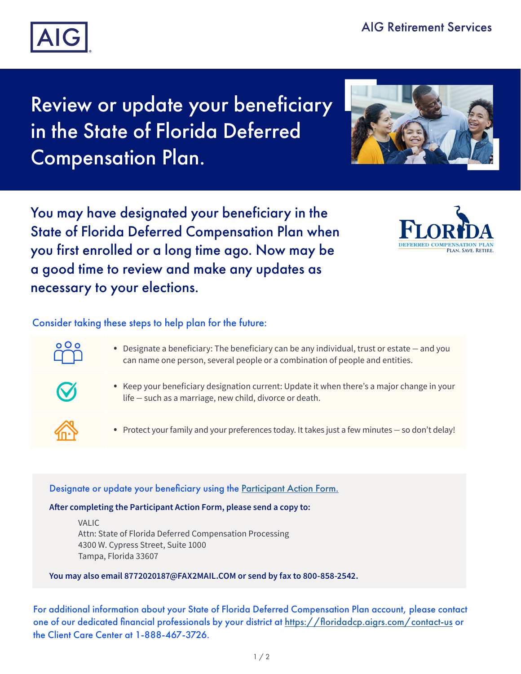

# Review or update your beneficiary in the State of Florida Deferred Compensation Plan.



You may have designated your beneficiary in the State of Florida Deferred Compensation Plan when you first enrolled or a long time ago. Now may be a good time to review and make any updates as necessary to your elections.



# Consider taking these steps to help plan for the future:

- Designate a beneficiary: The beneficiary can be any individual, trust or estate and you can name one person, several people or a combination of people and entities.
- 

 $\circ$  O o

- Keep your beneficiary designation current: Update it when there's a major change in your life — such as a marriage, new child, divorce or death.
- Protect your family and your preferences today. It takes just a few minutes so don't delay!

## Designate or update your beneficiary using the [Participant Action Form.](https://www.aigrs.com/content/dam/valic/america-canada/us-corporate/documents/securepdfs/fl-dcp-participant-action-form.pdf)

### **After completing the Participant Action Form, please send a copy to:**

VALIC Attn: State of Florida Deferred Compensation Processing 4300 W. Cypress Street, Suite 1000 Tampa, Florida 33607

**You may also email 8772020187@FAX2MAIL.COM or send by fax to 800-858-2542.**

For additional information about your State of Florida Deferred Compensation Plan account, please contact one of our dedicated financial professionals by your district at <https://floridadcp.aigrs.com/contact-us> or the Client Care Center at 1-888-467-3726.